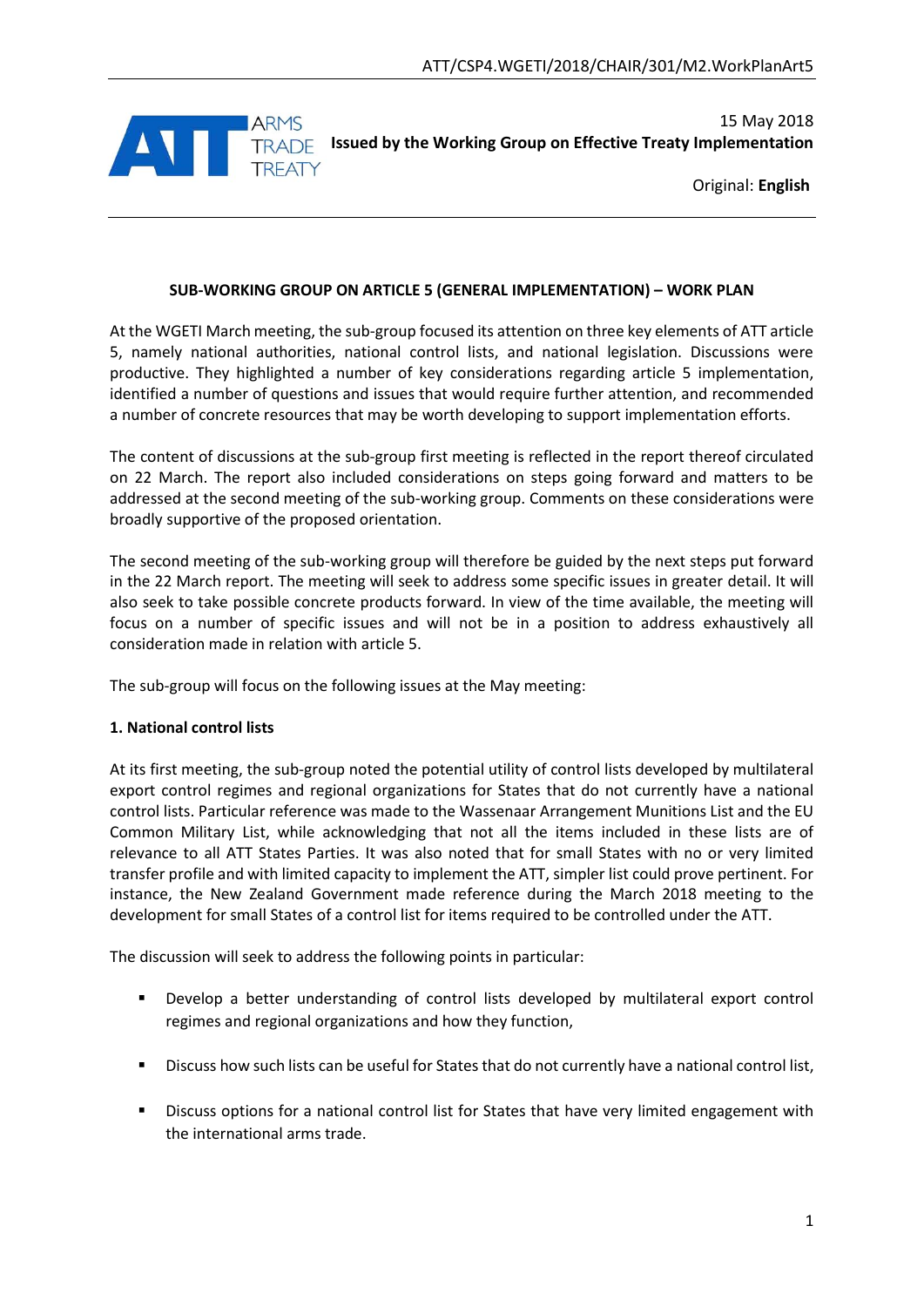

15 May 2018 **Issued by the Working Group on Effective Treaty Implementation**

Original: **English**

### **SUB-WORKING GROUP ON ARTICLE 5 (GENERAL IMPLEMENTATION) – WORK PLAN**

At the WGETI March meeting, the sub-group focused its attention on three key elements of ATT article 5, namely national authorities, national control lists, and national legislation. Discussions were productive. They highlighted a number of key considerations regarding article 5 implementation, identified a number of questions and issues that would require further attention, and recommended a number of concrete resources that may be worth developing to support implementation efforts.

The content of discussions at the sub-group first meeting is reflected in the report thereof circulated on 22 March. The report also included considerations on steps going forward and matters to be addressed at the second meeting of the sub-working group. Comments on these considerations were broadly supportive of the proposed orientation.

The second meeting of the sub-working group will therefore be guided by the next steps put forward in the 22 March report. The meeting will seek to address some specific issues in greater detail. It will also seek to take possible concrete products forward. In view of the time available, the meeting will focus on a number of specific issues and will not be in a position to address exhaustively all consideration made in relation with article 5.

The sub-group will focus on the following issues at the May meeting:

## **1. National control lists**

At its first meeting, the sub-group noted the potential utility of control lists developed by multilateral export control regimes and regional organizations for States that do not currently have a national control lists. Particular reference was made to the Wassenaar Arrangement Munitions List and the EU Common Military List, while acknowledging that not all the items included in these lists are of relevance to all ATT States Parties. It was also noted that for small States with no or very limited transfer profile and with limited capacity to implement the ATT, simpler list could prove pertinent. For instance, the New Zealand Government made reference during the March 2018 meeting to the development for small States of a control list for items required to be controlled under the ATT.

The discussion will seek to address the following points in particular:

- Develop a better understanding of control lists developed by multilateral export control regimes and regional organizations and how they function,
- Discuss how such lists can be useful for States that do not currently have a national control list,
- Discuss options for a national control list for States that have very limited engagement with the international arms trade.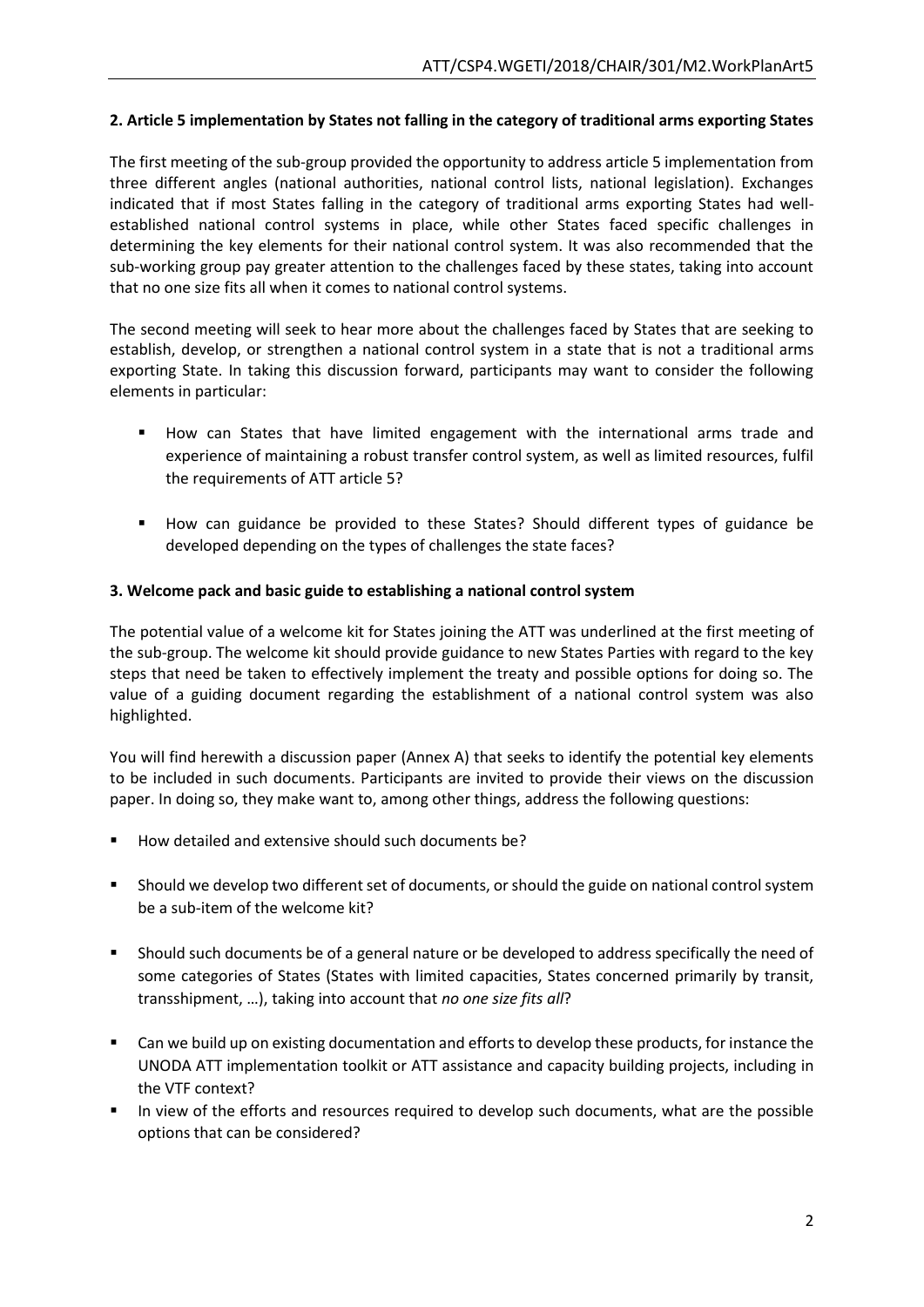### **2. Article 5 implementation by States not falling in the category of traditional arms exporting States**

The first meeting of the sub-group provided the opportunity to address article 5 implementation from three different angles (national authorities, national control lists, national legislation). Exchanges indicated that if most States falling in the category of traditional arms exporting States had wellestablished national control systems in place, while other States faced specific challenges in determining the key elements for their national control system. It was also recommended that the sub-working group pay greater attention to the challenges faced by these states, taking into account that no one size fits all when it comes to national control systems.

The second meeting will seek to hear more about the challenges faced by States that are seeking to establish, develop, or strengthen a national control system in a state that is not a traditional arms exporting State. In taking this discussion forward, participants may want to consider the following elements in particular:

- How can States that have limited engagement with the international arms trade and experience of maintaining a robust transfer control system, as well as limited resources, fulfil the requirements of ATT article 5?
- How can guidance be provided to these States? Should different types of guidance be developed depending on the types of challenges the state faces?

### **3. Welcome pack and basic guide to establishing a national control system**

The potential value of a welcome kit for States joining the ATT was underlined at the first meeting of the sub-group. The welcome kit should provide guidance to new States Parties with regard to the key steps that need be taken to effectively implement the treaty and possible options for doing so. The value of a guiding document regarding the establishment of a national control system was also highlighted.

You will find herewith a discussion paper (Annex A) that seeks to identify the potential key elements to be included in such documents. Participants are invited to provide their views on the discussion paper. In doing so, they make want to, among other things, address the following questions:

- How detailed and extensive should such documents be?
- Should we develop two different set of documents, or should the guide on national control system be a sub-item of the welcome kit?
- Should such documents be of a general nature or be developed to address specifically the need of some categories of States (States with limited capacities, States concerned primarily by transit, transshipment, …), taking into account that *no one size fits all*?
- Can we build up on existing documentation and efforts to develop these products, for instance the UNODA ATT implementation toolkit or ATT assistance and capacity building projects, including in the VTF context?
- In view of the efforts and resources required to develop such documents, what are the possible options that can be considered?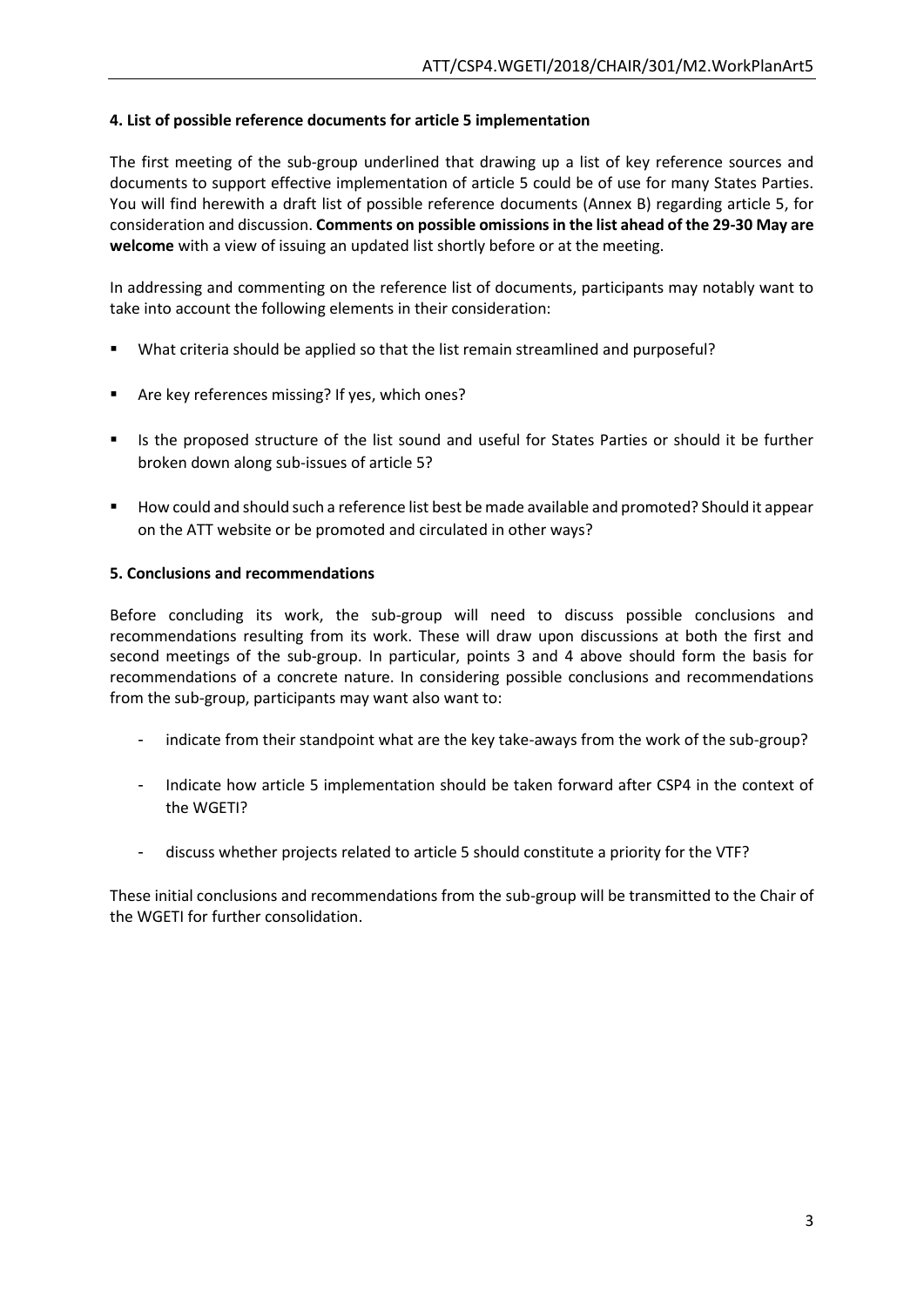## **4. List of possible reference documents for article 5 implementation**

The first meeting of the sub-group underlined that drawing up a list of key reference sources and documents to support effective implementation of article 5 could be of use for many States Parties. You will find herewith a draft list of possible reference documents (Annex B) regarding article 5, for consideration and discussion. **Comments on possible omissions in the list ahead of the 29-30 May are welcome** with a view of issuing an updated list shortly before or at the meeting.

In addressing and commenting on the reference list of documents, participants may notably want to take into account the following elements in their consideration:

- What criteria should be applied so that the list remain streamlined and purposeful?
- Are key references missing? If yes, which ones?
- Is the proposed structure of the list sound and useful for States Parties or should it be further broken down along sub-issues of article 5?
- How could and should such a reference list best be made available and promoted? Should it appear on the ATT website or be promoted and circulated in other ways?

### **5. Conclusions and recommendations**

Before concluding its work, the sub-group will need to discuss possible conclusions and recommendations resulting from its work. These will draw upon discussions at both the first and second meetings of the sub-group. In particular, points 3 and 4 above should form the basis for recommendations of a concrete nature. In considering possible conclusions and recommendations from the sub-group, participants may want also want to:

- indicate from their standpoint what are the key take-aways from the work of the sub-group?
- Indicate how article 5 implementation should be taken forward after CSP4 in the context of the WGETI?
- discuss whether projects related to article 5 should constitute a priority for the VTF?

These initial conclusions and recommendations from the sub-group will be transmitted to the Chair of the WGETI for further consolidation.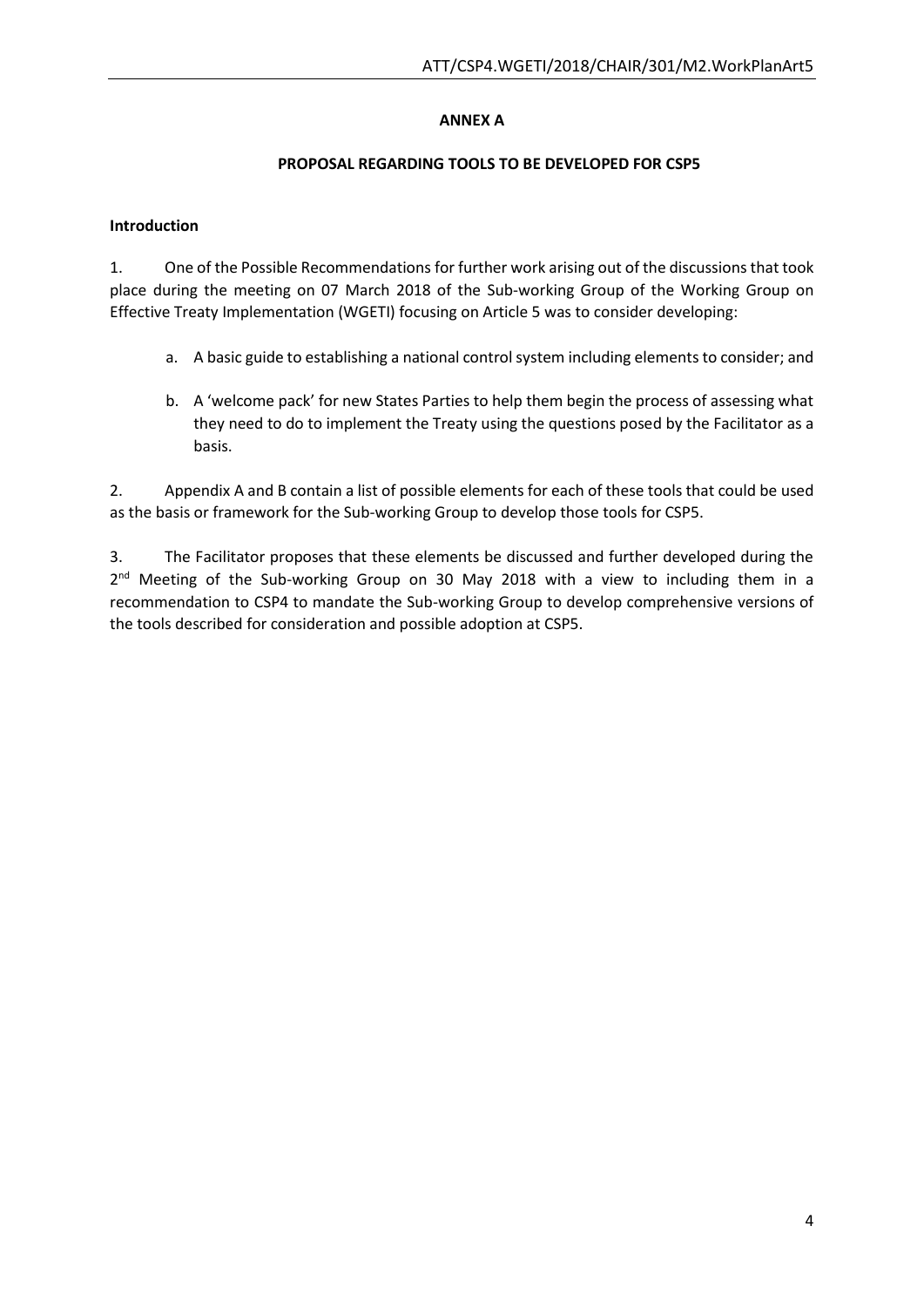# **ANNEX A**

## **PROPOSAL REGARDING TOOLS TO BE DEVELOPED FOR CSP5**

## **Introduction**

1. One of the Possible Recommendations for further work arising out of the discussions that took place during the meeting on 07 March 2018 of the Sub-working Group of the Working Group on Effective Treaty Implementation (WGETI) focusing on Article 5 was to consider developing:

- a. A basic guide to establishing a national control system including elements to consider; and
- b. A 'welcome pack' for new States Parties to help them begin the process of assessing what they need to do to implement the Treaty using the questions posed by the Facilitator as a basis.

2. Appendix A and B contain a list of possible elements for each of these tools that could be used as the basis or framework for the Sub-working Group to develop those tools for CSP5.

3. The Facilitator proposes that these elements be discussed and further developed during the 2<sup>nd</sup> Meeting of the Sub-working Group on 30 May 2018 with a view to including them in a recommendation to CSP4 to mandate the Sub-working Group to develop comprehensive versions of the tools described for consideration and possible adoption at CSP5.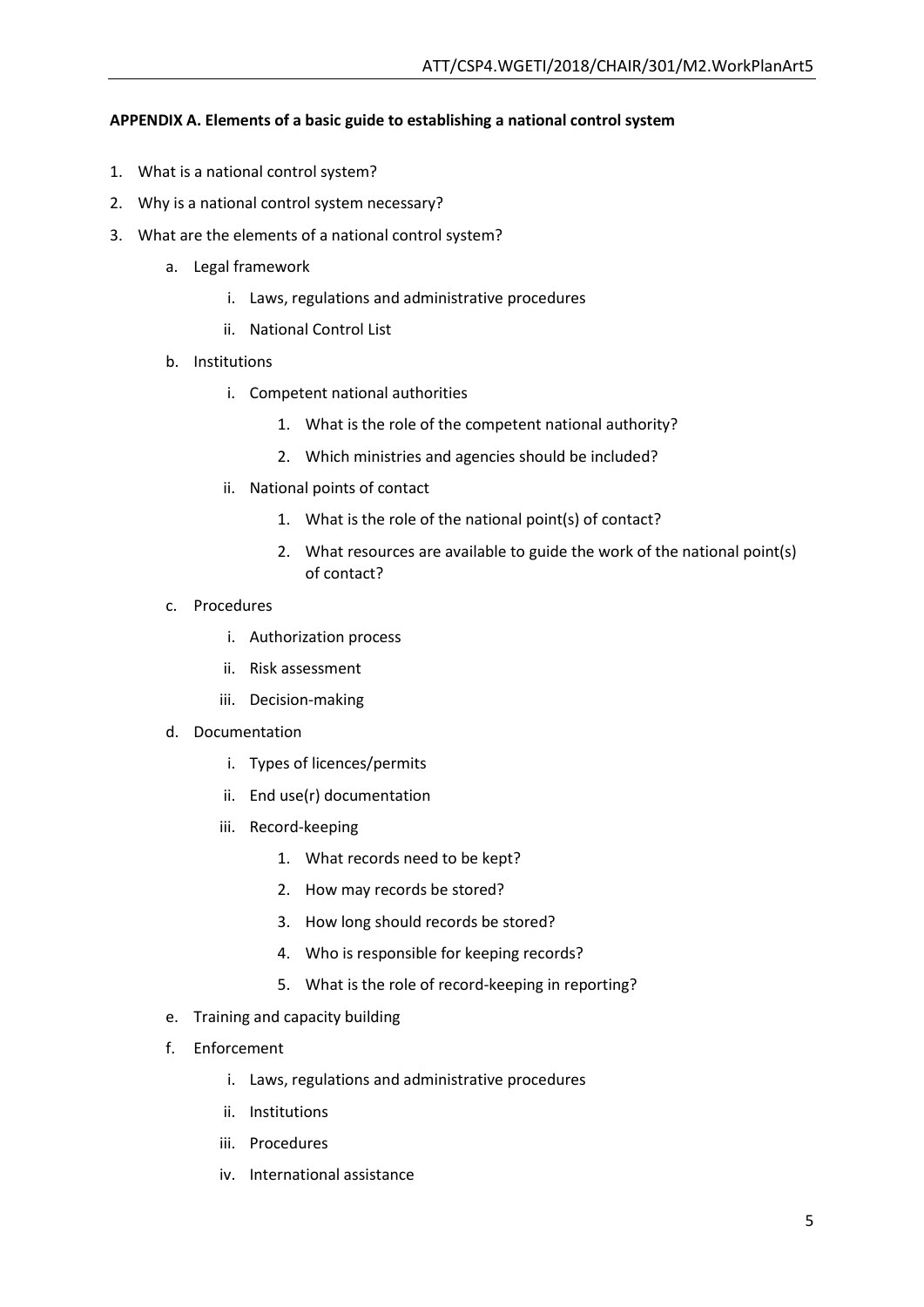## **APPENDIX A. Elements of a basic guide to establishing a national control system**

- 1. What is a national control system?
- 2. Why is a national control system necessary?
- 3. What are the elements of a national control system?
	- a. Legal framework
		- i. Laws, regulations and administrative procedures
		- ii. National Control List
	- b. Institutions
		- i. Competent national authorities
			- 1. What is the role of the competent national authority?
			- 2. Which ministries and agencies should be included?
		- ii. National points of contact
			- 1. What is the role of the national point(s) of contact?
			- 2. What resources are available to guide the work of the national point(s) of contact?
	- c. Procedures
		- i. Authorization process
		- ii. Risk assessment
		- iii. Decision-making
	- d. Documentation
		- i. Types of licences/permits
		- ii. End use(r) documentation
		- iii. Record-keeping
			- 1. What records need to be kept?
			- 2. How may records be stored?
			- 3. How long should records be stored?
			- 4. Who is responsible for keeping records?
			- 5. What is the role of record-keeping in reporting?
	- e. Training and capacity building
	- f. Enforcement
		- i. Laws, regulations and administrative procedures
		- ii. Institutions
		- iii. Procedures
		- iv. International assistance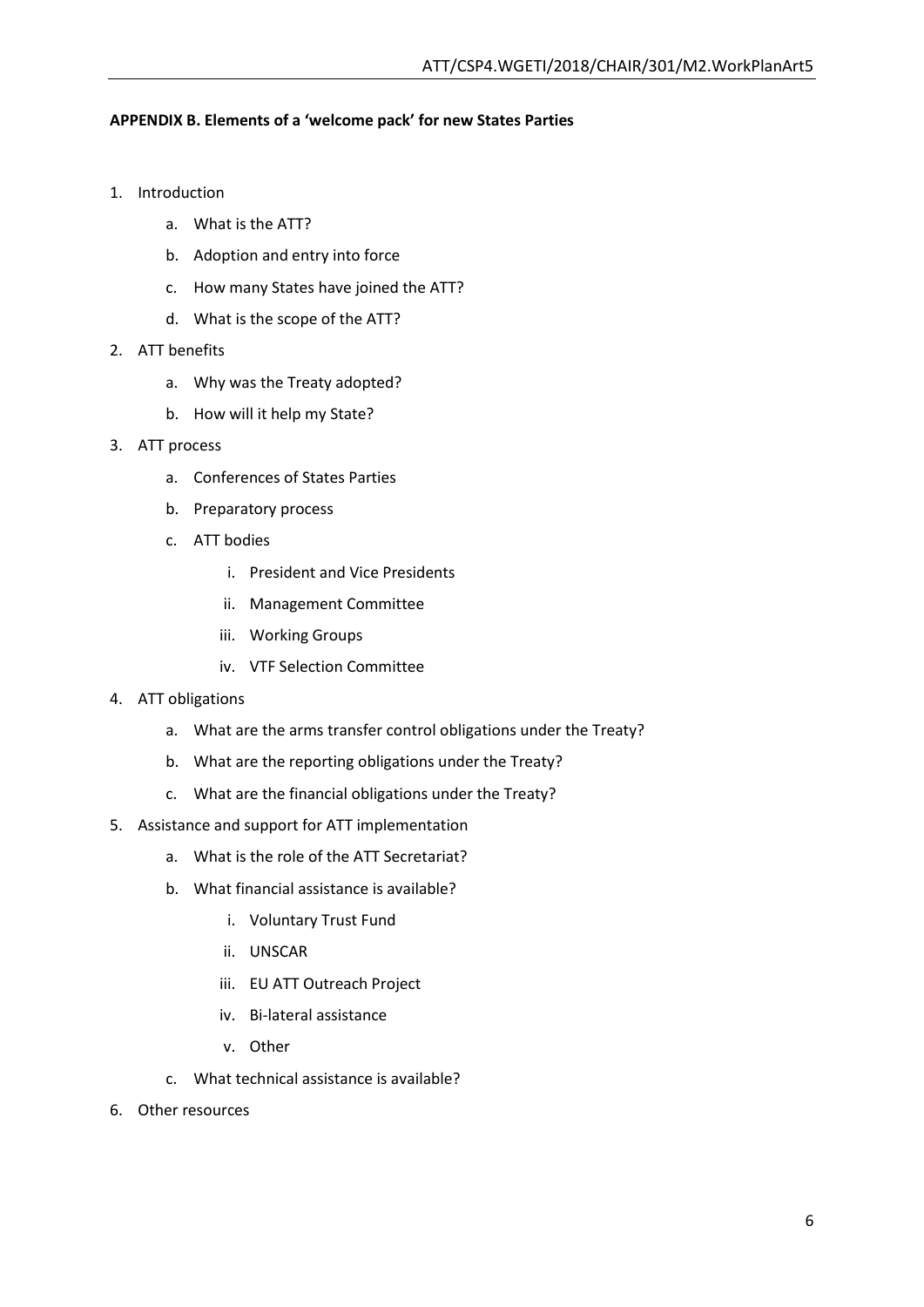### **APPENDIX B. Elements of a 'welcome pack' for new States Parties**

- 1. Introduction
	- a. What is the ATT?
	- b. Adoption and entry into force
	- c. How many States have joined the ATT?
	- d. What is the scope of the ATT?
- 2. ATT benefits
	- a. Why was the Treaty adopted?
	- b. How will it help my State?
- 3. ATT process
	- a. Conferences of States Parties
	- b. Preparatory process
	- c. ATT bodies
		- i. President and Vice Presidents
		- ii. Management Committee
		- iii. Working Groups
		- iv. VTF Selection Committee
- 4. ATT obligations
	- a. What are the arms transfer control obligations under the Treaty?
	- b. What are the reporting obligations under the Treaty?
	- c. What are the financial obligations under the Treaty?
- 5. Assistance and support for ATT implementation
	- a. What is the role of the ATT Secretariat?
	- b. What financial assistance is available?
		- i. Voluntary Trust Fund
		- ii. UNSCAR
		- iii. EU ATT Outreach Project
		- iv. Bi-lateral assistance
		- v. Other
	- c. What technical assistance is available?
- 6. Other resources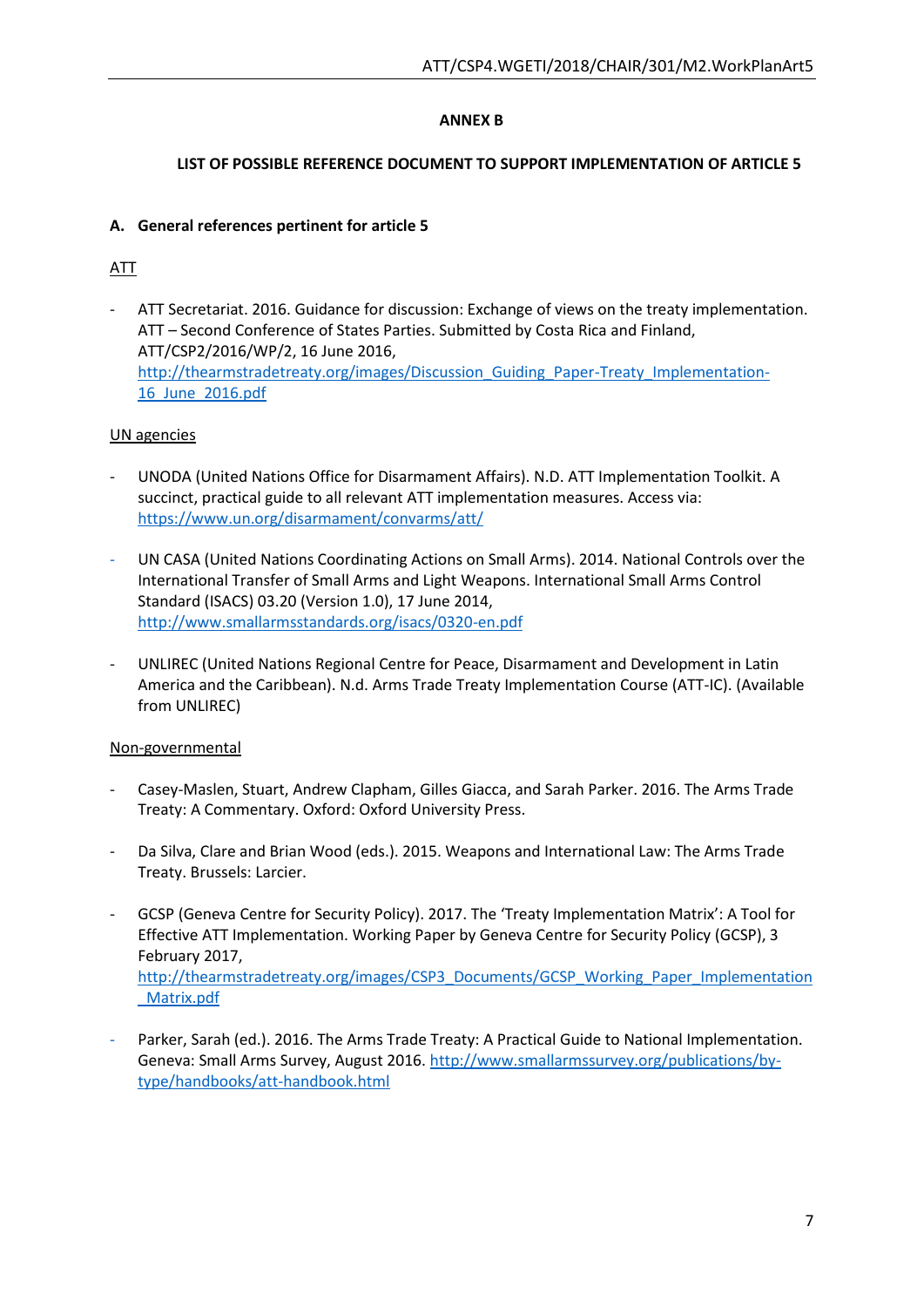# **ANNEX B**

## **LIST OF POSSIBLE REFERENCE DOCUMENT TO SUPPORT IMPLEMENTATION OF ARTICLE 5**

## **A. General references pertinent for article 5**

# ATT

- ATT Secretariat. 2016. Guidance for discussion: Exchange of views on the treaty implementation. ATT – Second Conference of States Parties. Submitted by Costa Rica and Finland, ATT/CSP2/2016/WP/2, 16 June 2016, http://thearmstradetreaty.org/images/Discussion Guiding Paper-Treaty Implementation-[16\\_June\\_2016.pdf](http://thearmstradetreaty.org/images/Discussion_Guiding_Paper-Treaty_Implementation-16_June_2016.pdf)

# UN agencies

- UNODA (United Nations Office for Disarmament Affairs). N.D. ATT Implementation Toolkit. A succinct, practical guide to all relevant ATT implementation measures. Access via: <https://www.un.org/disarmament/convarms/att/>
- UN CASA (United Nations Coordinating Actions on Small Arms). 2014. National Controls over the International Transfer of Small Arms and Light Weapons. International Small Arms Control Standard (ISACS) 03.20 (Version 1.0), 17 June 2014, <http://www.smallarmsstandards.org/isacs/0320-en.pdf>
- UNLIREC (United Nations Regional Centre for Peace, Disarmament and Development in Latin America and the Caribbean). N.d. Arms Trade Treaty Implementation Course (ATT-IC). (Available from UNLIREC)

## Non-governmental

- Casey-Maslen, Stuart, Andrew Clapham, Gilles Giacca, and Sarah Parker. 2016. The Arms Trade Treaty: A Commentary. Oxford: Oxford University Press.
- Da Silva, Clare and Brian Wood (eds.). 2015. Weapons and International Law: The Arms Trade Treaty. Brussels: Larcier.
- GCSP (Geneva Centre for Security Policy). 2017. The 'Treaty Implementation Matrix': A Tool for Effective ATT Implementation. Working Paper by Geneva Centre for Security Policy (GCSP), 3 February 2017, [http://thearmstradetreaty.org/images/CSP3\\_Documents/GCSP\\_Working\\_Paper\\_Implementation](http://thearmstradetreaty.org/images/CSP3_Documents/GCSP_Working_Paper_Implementation_Matrix.pdf) [\\_Matrix.pdf](http://thearmstradetreaty.org/images/CSP3_Documents/GCSP_Working_Paper_Implementation_Matrix.pdf)
- Parker, Sarah (ed.). 2016. The Arms Trade Treaty: A Practical Guide to National Implementation. Geneva: Small Arms Survey, August 2016. [http://www.smallarmssurvey.org/publications/by](http://www.smallarmssurvey.org/publications/by-type/handbooks/att-handbook.html)[type/handbooks/att-handbook.html](http://www.smallarmssurvey.org/publications/by-type/handbooks/att-handbook.html)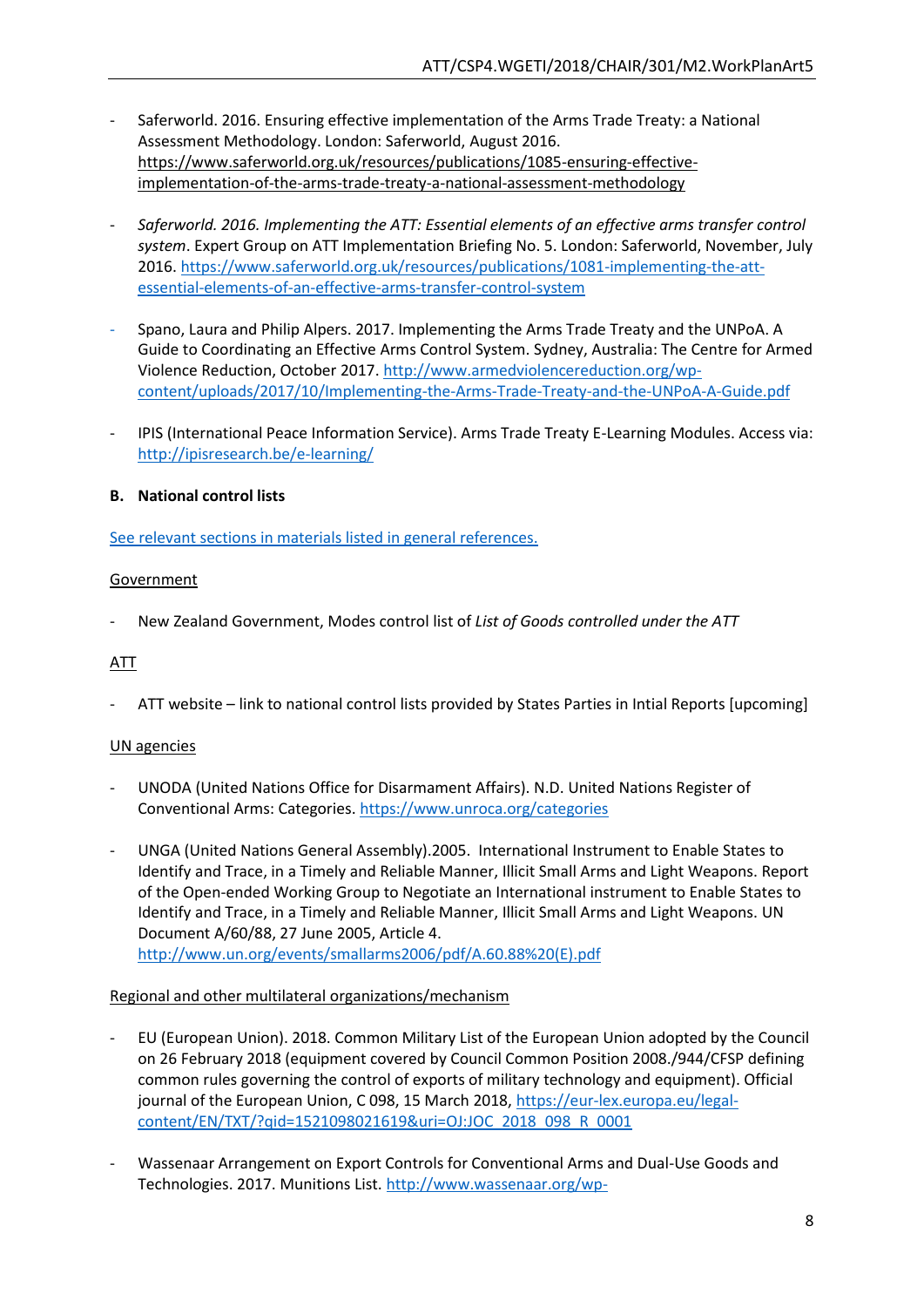- Saferworld. 2016. Ensuring effective implementation of the Arms Trade Treaty: a National Assessment Methodology. London: Saferworld, August 2016. [https://www.saferworld.org.uk/resources/publications/1085-ensuring-effective](https://www.saferworld.org.uk/resources/publications/1085-ensuring-effective-implementation-of-the-arms-trade-treaty-a-national-assessment-methodology)[implementation-of-the-arms-trade-treaty-a-national-assessment-methodology](https://www.saferworld.org.uk/resources/publications/1085-ensuring-effective-implementation-of-the-arms-trade-treaty-a-national-assessment-methodology)
- *Saferworld. 2016. Implementing the ATT: Essential elements of an effective arms transfer control system*. Expert Group on ATT Implementation Briefing No. 5. London: Saferworld, November, July 2016[. https://www.saferworld.org.uk/resources/publications/1081-implementing-the-att](https://www.saferworld.org.uk/resources/publications/1081-implementing-the-att-essential-elements-of-an-effective-arms-transfer-control-system)[essential-elements-of-an-effective-arms-transfer-control-system](https://www.saferworld.org.uk/resources/publications/1081-implementing-the-att-essential-elements-of-an-effective-arms-transfer-control-system)
- Spano, Laura and Philip Alpers. 2017. Implementing the Arms Trade Treaty and the UNPoA. A Guide to Coordinating an Effective Arms Control System. Sydney, Australia: The Centre for Armed Violence Reduction, October 2017. [http://www.armedviolencereduction.org/wp](http://www.armedviolencereduction.org/wp-content/uploads/2017/10/Implementing-the-Arms-Trade-Treaty-and-the-UNPoA-A-Guide.pdf)[content/uploads/2017/10/Implementing-the-Arms-Trade-Treaty-and-the-UNPoA-A-Guide.pdf](http://www.armedviolencereduction.org/wp-content/uploads/2017/10/Implementing-the-Arms-Trade-Treaty-and-the-UNPoA-A-Guide.pdf)
- IPIS (International Peace Information Service). Arms Trade Treaty E-Learning Modules. Access via: <http://ipisresearch.be/e-learning/>

# **B. National control lists**

See relevant sections in materials listed in general references.

## **Government**

- New Zealand Government, Modes control list of *List of Goods controlled under the ATT*

## ATT

ATT website – link to national control lists provided by States Parties in Intial Reports [upcoming]

## UN agencies

- UNODA (United Nations Office for Disarmament Affairs). N.D. United Nations Register of Conventional Arms: Categories.<https://www.unroca.org/categories>
- UNGA (United Nations General Assembly).2005. International Instrument to Enable States to Identify and Trace, in a Timely and Reliable Manner, Illicit Small Arms and Light Weapons. Report of the Open-ended Working Group to Negotiate an International instrument to Enable States to Identify and Trace, in a Timely and Reliable Manner, Illicit Small Arms and Light Weapons. UN Document A/60/88, 27 June 2005, Article 4. [http://www.un.org/events/smallarms2006/pdf/A.60.88%20\(E\).pdf](http://www.un.org/events/smallarms2006/pdf/A.60.88%20(E).pdf)

### Regional and other multilateral organizations/mechanism

- EU (European Union). 2018. Common Military List of the European Union adopted by the Council on 26 February 2018 (equipment covered by Council Common Position 2008./944/CFSP defining common rules governing the control of exports of military technology and equipment). Official journal of the European Union, C 098, 15 March 2018[, https://eur-lex.europa.eu/legal](https://eur-lex.europa.eu/legal-content/EN/TXT/?qid=1521098021619&uri=OJ:JOC_2018_098_R_0001)[content/EN/TXT/?qid=1521098021619&uri=OJ:JOC\\_2018\\_098\\_R\\_0001](https://eur-lex.europa.eu/legal-content/EN/TXT/?qid=1521098021619&uri=OJ:JOC_2018_098_R_0001)
- Wassenaar Arrangement on Export Controls for Conventional Arms and Dual-Use Goods and Technologies. 2017. Munitions List. [http://www.wassenaar.org/wp-](http://www.wassenaar.org/wp-content/uploads/2017/12/2017_List_of_DU_Goods_and_Technologies_and_Munitions_List-1.pdf)